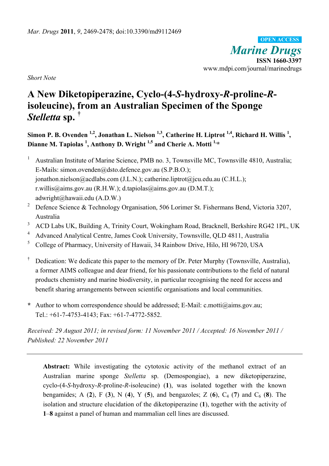*Marine Drugs* **ISSN 1660-3397**  www.mdpi.com/journal/marinedrugs **OPEN ACCESS**

*Short Note* 

# **A New Diketopiperazine, Cyclo-(4-***S***-hydroxy-***R***-proline-***R***isoleucine), from an Australian Specimen of the Sponge**  *Stelletta* **sp. †**

Simon P. B. Ovenden <sup>1,2</sup>, Jonathan L. Nielson <sup>1,3</sup>, Catherine H. Liptrot <sup>1,4</sup>, Richard H. Willis <sup>1</sup>, **Dianne M. Tapiolas <sup>1</sup> , Anthony D. Wright 1,5 and Cherie A. Motti 1,\*** 

- <sup>1</sup> Australian Institute of Marine Science, PMB no. 3, Townsville MC, Townsville 4810, Australia; E-Mails: simon.ovenden@dsto.defence.gov.au (S.P.B.O.); jonathon.nielson@acdlabs.com (J.L.N.); catherine.liptrot@jcu.edu.au (C.H.L.); r.willis@aims.gov.au (R.H.W.); d.tapiolas@aims.gov.au (D.M.T.); adwright@hawaii.edu (A.D.W.)
- <sup>2</sup> Defence Science & Technology Organisation, 506 Lorimer St. Fishermans Bend, Victoria 3207, Australia
- <sup>3</sup> ACD Labs UK, Building A, Trinity Court, Wokingham Road, Bracknell, Berkshire RG42 1PL, UK
- 4 Advanced Analytical Centre, James Cook University, Townsville, QLD 4811, Australia
- 5 College of Pharmacy, University of Hawaii, 34 Rainbow Drive, Hilo, HI 96720, USA
- <sup> $\dagger$ </sup> Dedication: We dedicate this paper to the memory of Dr. Peter Murphy (Townsville, Australia), a former AIMS colleague and dear friend, for his passionate contributions to the field of natural products chemistry and marine biodiversity, in particular recognising the need for access and benefit sharing arrangements between scientific organisations and local communities.
- **\*** Author to whom correspondence should be addressed; E-Mail: c.motti@aims.gov.au; Tel.: +61-7-4753-4143; Fax: +61-7-4772-5852.

*Received: 29 August 2011; in revised form: 11 November 2011 / Accepted: 16 November 2011 / Published: 22 November 2011* 

**Abstract:** While investigating the cytotoxic activity of the methanol extract of an Australian marine sponge *Stelletta* sp. (Demospongiae), a new diketopiperazine, cyclo-(4-*S*-hydroxy-*R*-proline-*R*-isoleucine) (**1**), was isolated together with the known bengamides; A (2), F (3), N (4), Y (5), and bengazoles; Z (6),  $C_4$  (7) and  $C_6$  (8). The isolation and structure elucidation of the diketopiperazine (**1**), together with the activity of **1**–**8** against a panel of human and mammalian cell lines are discussed.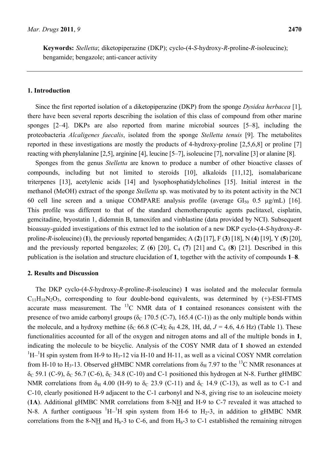**Keywords:** *Stelletta*; diketopiperazine (DKP); cyclo-(4-*S*-hydroxy-*R*-proline-*R*-isoleucine); bengamide; bengazole; anti-cancer activity

# **1. Introduction**

Since the first reported isolation of a diketopiperazine (DKP) from the sponge *Dysidea herbacea* [1], there have been several reports describing the isolation of this class of compound from other marine sponges [2–4]. DKPs are also reported from marine microbial sources [5–8], including the proteobacteria *Alcaligenes faecalis*, isolated from the sponge *Stelletta tenuis* [9]. The metabolites reported in these investigations are mostly the products of 4-hydroxy-proline [2,5,6,8] or proline [7] reacting with phenylalanine [2,5], arginine [4], leucine [5–7], isoleucine [7], norvaline [3] or alanine [8].

Sponges from the genus *Stelletta* are known to produce a number of other bioactive classes of compounds, including but not limited to steroids [10], alkaloids [11,12], isomalabaricane triterpenes [13], acetylenic acids [14] and lysophosphatidylcholines [15]. Initial interest in the methanol (MeOH) extract of the sponge *Stelletta* sp. was motivated by to its potent activity in the NCI 60 cell line screen and a unique COMPARE analysis profile (average  $GI_{50}$  0.5  $\mu$ g/mL) [16]. This profile was different to that of the standard chemotherapeutic agents paclitaxel, cisplatin, gemcitadine, bryostatin 1, didemnin B, tamoxifen and vinblastine (data provided by NCI). Subsequent bioassay-guided investigations of this extract led to the isolation of a new DKP cyclo-(4-*S*-hydroxy-*R*proline-*R*-isoleucine) (**1**), the previously reported bengamides; A (**2**) [17], F (**3**) [18], N (**4**) [19], Y (**5**) [20], and the previously reported bengazoles; Z  $(6)$   $[20]$ ,  $C_4$   $(7)$   $[21]$  and  $C_6$   $(8)$   $[21]$ . Described in this publication is the isolation and structure elucidation of **1**, together with the activity of compounds **1**–**8**.

#### **2. Results and Discussion**

The DKP cyclo-(4-*S*-hydroxy-*R*-proline-*R*-isoleucine) **1** was isolated and the molecular formula  $C_{11}H_{18}N_2O_3$ , corresponding to four double-bond equivalents, was determined by  $(+)$ -ESI-FTMS accurate mass measurement. The  $^{13}$ C NMR data of 1 contained resonances consistent with the presence of two amide carbonyl groups ( $\delta$ <sup>C</sup> 170.5 (C-7), 165.4 (C-1)) as the only multiple bonds within the molecule, and a hydroxy methine ( $\delta$ <sub>C</sub> 66.8 (C-4);  $\delta$ <sub>H</sub> 4.28, 1H, dd, *J* = 4.6, 4.6 Hz) (Table 1). These functionalities accounted for all of the oxygen and nitrogen atoms and all of the multiple bonds in **1**, indicating the molecule to be bicyclic. Analysis of the COSY NMR data of **1** showed an extended  ${}^{1}H-{}^{1}H$  spin system from H-9 to H<sub>3</sub>-12 via H-10 and H-11, as well as a vicinal COSY NMR correlation from H-10 to H<sub>3</sub>-13. Observed gHMBC NMR correlations from  $\delta_H$  7.97 to the <sup>13</sup>C NMR resonances at  $δ<sub>C</sub>$  59.1 (C-9),  $δ<sub>C</sub>$  56.7 (C-6),  $δ<sub>C</sub>$  34.8 (C-10) and C-1 positioned this hydrogen at N-8. Further gHMBC NMR correlations from  $\delta_H$  4.00 (H-9) to  $\delta_C$  23.9 (C-11) and  $\delta_C$  14.9 (C-13), as well as to C-1 and C-10, clearly positioned H-9 adjacent to the C-1 carbonyl and N-8, giving rise to an isoleucine moiety (**1A**). Additional gHMBC NMR correlations from 8-NH and H-9 to C-7 revealed it was attached to N-8. A further contiguous  ${}^{1}H-{}^{1}H$  spin system from H-6 to H<sub>2</sub>-3, in addition to gHMBC NMR correlations from the 8-NH and H<sub>b</sub>-3 to C-6, and from H<sub>b</sub>-3 to C-1 established the remaining nitrogen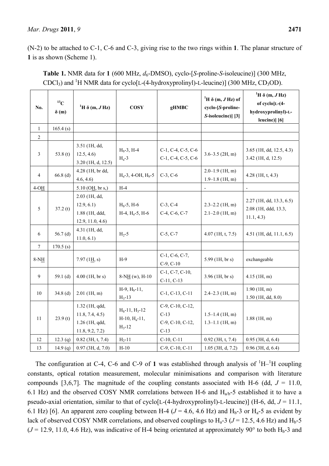(N-2) to be attached to C-1, C-6 and C-3, giving rise to the two rings within **1**. The planar structure of **1** is as shown (Scheme 1).

| No.              | $^{13}$ C<br>$\delta(m)$ | <sup>1</sup> H $\delta$ (m, J Hz)                                       | <b>COSY</b>                                           | gHMBC                                                    | <sup>1</sup> H $\delta$ (m, J Hz) of<br>cyclo-[S-proline-<br>S-isoleucine)] [3] | <sup>1</sup> H $\delta$ (m, J Hz)<br>of cyclo[L-(4-<br>hydroxyprolinyl)-L-<br>$leucine$ $[6]$ |
|------------------|--------------------------|-------------------------------------------------------------------------|-------------------------------------------------------|----------------------------------------------------------|---------------------------------------------------------------------------------|-----------------------------------------------------------------------------------------------|
| $\mathbf{1}$     | 165.4(s)                 |                                                                         |                                                       |                                                          |                                                                                 |                                                                                               |
| $\overline{2}$   |                          |                                                                         |                                                       |                                                          |                                                                                 |                                                                                               |
| $\mathfrak{Z}$   | 53.8 $(t)$               | 3.51 (1H, dd,<br>12.5, 4.6<br>3.20 (1H, d, 12.5)                        | $H_b-3$ , H-4<br>$H_a-3$                              | $C-1$ , $C-4$ , $C-5$ , $C-6$<br>C-1, C-4, C-5, C-6      | $3.6 - 3.5$ (2H, m)                                                             | $3.65$ (1H, dd, 12.5, 4.3)<br>$3.42$ (1H, d, 12.5)                                            |
| $\overline{4}$   | $66.8$ (d)               | 4.28 (1H, br dd,<br>4.6, 4.6                                            | $H_a-3$ , 4-OH, $H_b-5$                               | $C-3, C-6$                                               | $2.0 - 1.9$ (1H, m)<br>$1.9 - 1.8$ (1H, m)                                      | $4.28$ (1H, t, 4.3)                                                                           |
| $4-OH$           |                          | 5.10 (O <u>H</u> , br s,)                                               | $H-4$                                                 |                                                          | $\blacksquare$                                                                  | $\blacksquare$                                                                                |
| 5                | 37.2(t)                  | 2.03 (1H, dd,<br>12.9, 6.1)<br>1.88 (1H, ddd,<br>12.9, 11.0, 4.6)       | $H_b-5$ , H-6<br>$H-4$ , $H_a-5$ , $H-6$              | $C-3, C-4$<br>$C-4, C-6, C-7$                            | $2.3 - 2.2$ (1H, m)<br>$2.1 - 2.0$ (1H, m)                                      | $2.27$ (1H, dd, 13.3, 6.5)<br>2.08 (1H, ddd, 13.3,<br>11.1, 4.3)                              |
| 6                | 56.7 $(d)$               | 4.31 (1H, dd,<br>11.0, 6.1)                                             | $H_2-5$                                               | $C-5, C-7$                                               | $4.07$ (1H, t, 7.5)                                                             | $4.51$ (1H, dd, 11.1, 6.5)                                                                    |
| $\boldsymbol{7}$ | 170.5(s)                 |                                                                         |                                                       |                                                          |                                                                                 |                                                                                               |
| $8-NH$           |                          | 7.97 $(1\underline{H}, s)$                                              | $H-9$                                                 | $C-1$ , $C-6$ , $C-7$ ,<br>$C-9, C-10$                   | 5.99 (1H, br s)                                                                 | exchangeable                                                                                  |
| 9                | 59.1 $(d)$               | $4.00$ (1H, br s)                                                       | $8-NH(w)$ , H-10                                      | C-1, C-7, C-10,<br>$C-11, C-13$                          | $3.96$ (1H, br s)                                                               | $4.15$ (1H, m)                                                                                |
| 10               | $34.8$ (d)               | $2.01$ (1H, m)                                                          | $H-9$ , $Hb-11$ ,<br>$H_3 - 13$                       | C-1, C-13, C-11                                          | $2.4 - 2.3$ (1H, m)                                                             | $1.90$ (1H, m)<br>$1.50$ (1H, dd, 8.0)                                                        |
| 11               | 23.9(t)                  | 1.32 (1H, qdd,<br>11.8, 7.4, 4.5<br>$1.26$ (1H, qdd,<br>11.8, 9.2, 7.2) | $H_b-11, H_3-12$<br>$H-10$ , $H_a-11$ ,<br>$H_3 - 12$ | C-9, C-10, C-12,<br>$C-13$<br>C-9, C-10, C-12,<br>$C-13$ | $1.5-1.4$ (1H, m)<br>$1.3 - 1.1$ (1H, m)                                        | $1.88$ (1H, m)                                                                                |
| 12               | $12.3$ (q)               | $0.82$ (3H, t, 7.4)                                                     | $H_2 - 11$                                            | $C-10, C-11$                                             | $0.92$ (3H, t, 7.4)                                                             | $0.95$ (3H, d, 6.4)                                                                           |
| 13               | 14.9(q)                  | $0.97$ (3H, d, 7.0)                                                     | $H-10$                                                | C-9, C-10, C-11                                          | $1.05$ (3H, d, 7.2)                                                             | $0.96$ (3H, d, 6.4)                                                                           |

**Table 1.** NMR data for 1 (600 MHz,  $d_6$ -DMSO), cyclo-[*S*-proline-*S*-isoleucine)] (300 MHz, CDCl<sub>3</sub>) and <sup>1</sup>H NMR data for cyclo[L-(4-hydroxyprolinyl)-L-leucine)] (300 MHz, CD<sub>3</sub>OD).

The configuration at C-4, C-6 and C-9 of 1 was established through analysis of  $^1H$ - $^1H$  coupling constants, optical rotation measurement, molecular minimisations and comparison with literature compounds [3,6,7]. The magnitude of the coupling constants associated with H-6 (dd,  $J = 11.0$ , 6.1 Hz) and the observed COSY NMR correlations between H-6 and  $H_{a/b}$ -5 established it to have a pseudo-axial orientation, similar to that of cyclo[L-(4-hydroxyprolinyl)-L-leucine)] (H-6, dd, *J* = 11.1, 6.1 Hz) [6]. An apparent zero coupling between H-4 ( $J = 4.6$ , 4.6 Hz) and H<sub>b</sub>-3 or H<sub>a</sub>-5 as evident by lack of observed COSY NMR correlations, and observed couplings to  $H_a-3$  ( $J=12.5$ , 4.6 Hz) and  $H_b-5$  $(J = 12.9, 11.0, 4.6 \text{ Hz})$ , was indicative of H-4 being orientated at approximately 90 $^{\circ}$  to both H<sub>b</sub>-3 and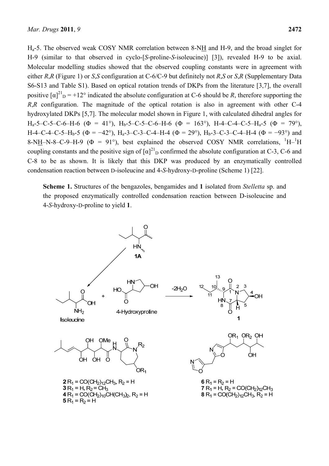Ha-5. The observed weak COSY NMR correlation between 8-NH and H-9, and the broad singlet for H-9 (similar to that observed in cyclo-[*S*-proline-*S*-isoleucine)] [3]), revealed H-9 to be axial. Molecular modelling studies showed that the observed coupling constants were in agreement with either *R*,*R* (Figure 1) or *S*,*S* configuration at C-6/C-9 but definitely not *R*,*S* or *S*,*R* (Supplementary Data S6-S13 and Table S1). Based on optical rotation trends of DKPs from the literature [3,7], the overall positive  $[\alpha]^{21}$ <sub>D</sub> = +12° indicated the absolute configuration at C-6 should be *R*, therefore supporting the *R*,*R* configuration. The magnitude of the optical rotation is also in agreement with other C-4 hydroxylated DKPs [5,7]. The molecular model shown in Figure 1, with calculated dihedral angles for  $H_a$ -5–C-5–C-6–H-6 ( $\Phi = 41^{\circ}$ ),  $H_b$ -5–C-5–C-6–H-6 ( $\Phi = 163^{\circ}$ ), H-4–C-4–C-5–H<sub>a</sub>-5 ( $\Phi = 79^{\circ}$ ), H-4–C-4–C-5–H<sub>b</sub>-5 ( $\Phi$  = −42°), H<sub>a</sub>-3–C-3–C-4–H-4 ( $\Phi$  = 29°), H<sub>b</sub>-3–C-3–C-4–H-4 ( $\Phi$  = −93°) and 8-NH–N-8–C-9–H-9 ( $\Phi = 91^{\circ}$ ), best explained the observed COSY NMR correlations,  ${}^{1}H-{}^{1}H$ coupling constants and the positive sign of  $\left[\alpha\right]^{21}$  confirmed the absolute configuration at C-3, C-6 and C-8 to be as shown. It is likely that this DKP was produced by an enzymatically controlled condensation reaction between D-isoleucine and 4-*S*-hydroxy-D-proline (Scheme 1) [22].

**Scheme 1.** Structures of the bengazoles, bengamides and **1** isolated from *Stelletta* sp. and the proposed enzymatically controlled condensation reaction between D-isoleucine and 4-*S*-hydroxy-D-proline to yield **1**.

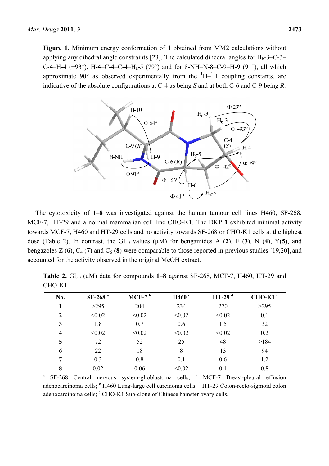**Figure 1.** Minimum energy conformation of **1** obtained from MM2 calculations without applying any dihedral angle constraints [23]. The calculated dihedral angles for  $H_b$ -3–C-3– C-4–H-4 (−93°), H-4–C-4–C-4–H<sub>a</sub>-5 (79°) and for 8-NH–N-8–C-9–H-9 (91°), all which approximate 90 $^{\circ}$  as observed experimentally from the  $^1$ H $-$ <sup>1</sup>H coupling constants, are indicative of the absolute configurations at C-4 as being *S* and at both C-6 and C-9 being *R*.



The cytotoxicity of **1**–**8** was investigated against the human tumour cell lines H460, SF-268, MCF-7, HT-29 and a normal mammalian cell line CHO-K1. The DKP **1** exhibited minimal activity towards MCF-7, H460 and HT-29 cells and no activity towards SF-268 or CHO-K1 cells at the highest dose (Table 2). In contrast, the  $GI_{50}$  values ( $\mu$ M) for bengamides A (2), F (3), N (4), Y(5), and bengazoles  $Z(6)$ ,  $C_4(7)$  and  $C_6(8)$  were comparable to those reported in previous studies [19,20], and accounted for the activity observed in the original MeOH extract.

| No.                     | $SF-268$ <sup>a</sup> | $MCF-7b$ | H460 <sup>c</sup> | $HT-29d$ | $CHO-K1e$ |
|-------------------------|-----------------------|----------|-------------------|----------|-----------|
| 1                       | >295                  | 204      | 234               | 270      | >295      |
| 2                       | < 0.02                | < 0.02   | < 0.02            | < 0.02   | 0.1       |
| 3                       | 1.8                   | 0.7      | 0.6               | 1.5      | 32        |
| $\overline{\mathbf{4}}$ | < 0.02                | < 0.02   | < 0.02            | < 0.02   | 0.2       |
| 5                       | 72                    | 52       | 25                | 48       | >184      |
| 6                       | 22                    | 18       | 8                 | 13       | 94        |
| 7                       | 0.3                   | 0.8      | 0.1               | 0.6      | 1.2       |
| 8                       | 0.02                  | 0.06     | < 0.02            | 0.1      | 0.8       |

**Table 2.** GI<sub>50</sub> (μM) data for compounds 1–8 against SF-268, MCF-7, H460, HT-29 and CHO-K1.

a SF-268 Central nervous system-glioblastoma cells; <sup>b</sup> MCF-7 Breast-pleural effusion adenocarcinoma cells; <sup>c</sup> H460 Lung-large cell carcinoma cells; <sup>d</sup> HT-29 Colon-recto-sigmoid colon adenocarcinoma cells; <sup>e</sup> CHO-K1 Sub-clone of Chinese hamster ovary cells.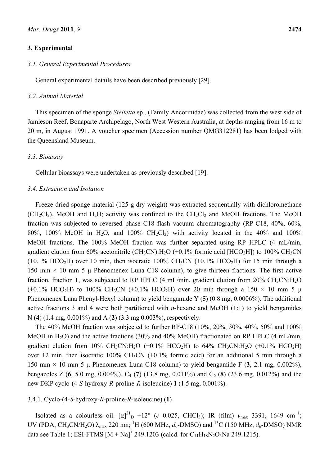# **3. Experimental**

#### *3.1. General Experimental Procedures*

General experimental details have been described previously [29].

#### *3.2. Animal Material*

This specimen of the sponge *Stelletta* sp., (Family Ancorinidae) was collected from the west side of Jamieson Reef, Bonaparte Archipelago, North West Western Australia, at depths ranging from 16 m to 20 m, in August 1991. A voucher specimen (Accession number QMG312281) has been lodged with the Queensland Museum.

#### *3.3. Bioassay*

Cellular bioassays were undertaken as previously described [19].

### *3.4. Extraction and Isolation*

Freeze dried sponge material (125 g dry weight) was extracted sequentially with dichloromethane  $(CH_2Cl_2)$ , MeOH and H<sub>2</sub>O; activity was confined to the CH<sub>2</sub>Cl<sub>2</sub> and MeOH fractions. The MeOH fraction was subjected to reversed phase C18 flash vacuum chromatography (RP-C18, 40%, 60%, 80%, 100% MeOH in H<sub>2</sub>O, and 100% CH<sub>2</sub>Cl<sub>2</sub>) with activity located in the 40% and 100% MeOH fractions. The 100% MeOH fraction was further separated using RP HPLC (4 mL/min, gradient elution from  $60\%$  acetonitrile (CH<sub>3</sub>CN):H<sub>2</sub>O (+0.1% formic acid [HCO<sub>2</sub>H]) to 100% CH<sub>3</sub>CN (+0.1% HCO<sub>2</sub>H) over 10 min, then isocratic 100% CH<sub>3</sub>CN (+0.1% HCO<sub>2</sub>H) for 15 min through a 150 mm  $\times$  10 mm 5  $\mu$  Phenomenex Luna C18 column), to give thirteen fractions. The first active fraction, fraction 1, was subjected to RP HPLC  $(4 \text{ mL/min}, \text{gradient}$  elution from 20% CH<sub>3</sub>CN:H<sub>2</sub>O (+0.1% HCO<sub>2</sub>H) to 100% CH<sub>3</sub>CN (+0.1% HCO<sub>2</sub>H) over 20 min through a 150  $\times$  10 mm 5  $\mu$ Phenomenex Luna Phenyl-Hexyl column) to yield bengamide Y (**5**) (0.8 mg, 0.0006%). The additional active fractions 3 and 4 were both partitioned with *n*-hexane and MeOH (1:1) to yield bengamides N (**4**) (1.4 mg, 0.001%) and A (**2**) (3.3 mg 0.003%), respectively.

The 40% MeOH fraction was subjected to further RP-C18 (10%, 20%, 30%, 40%, 50% and 100% MeOH in H<sub>2</sub>O) and the active fractions (30% and 40% MeOH) fractionated on RP HPLC (4 mL/min, gradient elution from 10% CH<sub>3</sub>CN:H<sub>2</sub>O (+0.1% HCO<sub>2</sub>H) to 64% CH<sub>3</sub>CN:H<sub>2</sub>O (+0.1% HCO<sub>2</sub>H) over 12 min, then isocratic 100% CH<sub>3</sub>CN  $(+0.1\%$  formic acid) for an additional 5 min through a 150 mm × 10 mm 5 μ Phenomenex Luna C18 column) to yield bengamide F (**3**, 2.1 mg, 0.002%), bengazoles Z (**6**, 5.0 mg, 0.004%), C4 (**7**) (13.8 mg, 0.011%) and C6 (**8**) (23.6 mg, 0.012%) and the new DKP cyclo-(4-*S*-hydroxy-*R*-proline-*R*-isoleucine) **1** (1.5 mg, 0.001%).

# 3.4.1. Cyclo-(4-*S*-hydroxy-*R*-proline-*R*-isoleucine) (**1**)

Isolated as a colourless oil.  $[\alpha]^{21}$ <sub>D</sub> +12° (*c* 0.025, CHCl<sub>3</sub>); IR (film)  $v_{\text{max}}$  3391, 1649 cm<sup>-1</sup>; UV (PDA, CH<sub>3</sub>CN/H<sub>2</sub>O)  $\lambda_{\text{max}}$  220 nm; <sup>1</sup>H (600 MHz,  $d_6$ -DMSO) and <sup>13</sup>C (150 MHz,  $d_6$ -DMSO) NMR data see Table 1; ESI-FTMS  $[M + Na]^+$  249.1203 (calcd. for  $C_{11}H_{18}N_2O_3Na$  249.1215).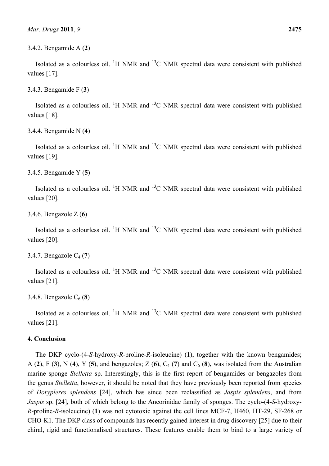3.4.2. Bengamide A (**2**)

Isolated as a colourless oil.  ${}^{1}H$  NMR and  ${}^{13}C$  NMR spectral data were consistent with published values [17].

```
3.4.3. Bengamide F (3)
```
Isolated as a colourless oil.  ${}^{1}H$  NMR and  ${}^{13}C$  NMR spectral data were consistent with published values [18].

```
3.4.4. Bengamide N (4)
```
Isolated as a colourless oil.  ${}^{1}H$  NMR and  ${}^{13}C$  NMR spectral data were consistent with published values [19].

3.4.5. Bengamide Y (**5**)

Isolated as a colourless oil.  ${}^{1}H$  NMR and  ${}^{13}C$  NMR spectral data were consistent with published values [20].

3.4.6. Bengazole Z (**6**)

Isolated as a colourless oil.  ${}^{1}H$  NMR and  ${}^{13}C$  NMR spectral data were consistent with published values [20].

3.4.7. Bengazole  $C_4$  (7)

Isolated as a colourless oil.  ${}^{1}H$  NMR and  ${}^{13}C$  NMR spectral data were consistent with published values [21].

3.4.8. Bengazole  $C_6$  (8)

Isolated as a colourless oil.  ${}^{1}H$  NMR and  ${}^{13}C$  NMR spectral data were consistent with published values [21].

# **4. Conclusion**

The DKP cyclo-(4-*S*-hydroxy-*R*-proline-*R*-isoleucine) (**1**), together with the known bengamides; A (2), F (3), N (4), Y (5), and bengazoles; Z (6), C<sub>4</sub> (7) and C<sub>6</sub> (8), was isolated from the Australian marine sponge *Stelletta* sp. Interestingly, this is the first report of bengamides or bengazoles from the genus *Stelletta*, however, it should be noted that they have previously been reported from species of *Dorypleres splendens* [24], which has since been reclassified as *Jaspis splendens*, and from *Jaspis* sp. [24], both of which belong to the Ancorinidae family of sponges. The cyclo-(4-*S*-hydroxy-*R*-proline-*R*-isoleucine) (**1**) was not cytotoxic against the cell lines MCF-7, H460, HT-29, SF-268 or CHO-K1. The DKP class of compounds has recently gained interest in drug discovery [25] due to their chiral, rigid and functionalised structures. These features enable them to bind to a large variety of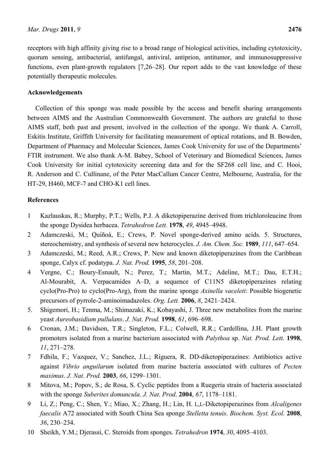receptors with high affinity giving rise to a broad range of biological activities, including cytotoxicity, quorum sensing, antibacterial, antifungal, antiviral, antiprion, antitumor, and immunosuppressive functions, even plant-growth regulators [7,26–28]. Our report adds to the vast knowledge of these potentially therapeutic molecules.

# **Acknowledgements**

Collection of this sponge was made possible by the access and benefit sharing arrangements between AIMS and the Australian Commonwealth Government. The authors are grateful to those AIMS staff, both past and present, involved in the collection of the sponge. We thank A. Carroll, Eskitis Institute, Griffith University for facilitating measurement of optical rotations, and B. Bowden, Department of Pharmacy and Molecular Sciences, James Cook University for use of the Departments' FTIR instrument. We also thank A-M. Babey, School of Veterinary and Biomedical Sciences, James Cook University for initial cytotoxicity screening data and for the SF268 cell line, and C. Hooi, R. Anderson and C. Cullinane, of the Peter MacCallum Cancer Centre, Melbourne, Australia, for the HT-29, H460, MCF-7 and CHO-K1 cell lines.

# **References**

- 1 Kazlauskas, R.; Murphy, P.T.; Wells, P.J. A diketopiperazine derived from trichloroleucine from the sponge Dysidea herbacea. *Tetrahedron Lett.* **1978**, *49*, 4945–4948.
- 2 Adamczeski, M.; Quiñoà, E.; Crews, P. Novel sponge-derived amino acids. 5. Structures, stereochemistry, and synthesis of several new heterocycles. *J. Am. Chem. Soc.* **1989**, *111*, 647–654.
- 3 Adamczeski, M.; Reed, A.R.; Crews, P. New and known diketopiperazines from the Caribbean sponge, Calyx cf. podatypa. *J. Nat. Prod.* **1995**, *58*, 201–208.
- 4 Vergne, C.; Boury-Esnault, N.; Perez, T.; Martin, M.T.; Adeline, M.T.; Dau, E.T.H.; Al-Mourabit, A. Verpacamides A–D, a sequence of C11N5 diketopiperazines relating cyclo(Pro-Pro) to cyclo(Pro-Arg), from the marine sponge *Axinella vaceleti*: Possible biogenetic precursors of pyrrole-2-aminoimadazoles. *Org. Lett.* **2006**, *8*, 2421–2424.
- 5. Shigemori, H.; Tenma, M.; Shimazaki, K.; Kobayashi, J. Three new metabolites from the marine yeast *Aureobasidium pullulans*. *J. Nat. Prod.* **1998**, *61*, 696–698.
- 6 Cronan, J.M.; Davidson, T.R.; Singleton, F.L.; Colwell, R.R.; Cardellina, J.H. Plant growth promoters isolated from a marine bacterium associated with *Palythoa* sp. *Nat. Prod. Lett.* **1998**, *11*, 271–278.
- 7 Fdhila, F.; Vazquez, V.; Sanchez, J.L.; Riguera, R. DD-diketopiperazines: Antibiotics active against *Vibrio anguilarum* isolated from marine bacteria associated with cultures of *Pecten maximus*. *J. Nat. Prod.* **2003**, *66*, 1299–1301.
- 8 Mitova, M.; Popov, S.; de Rosa, S. Cyclic peptides from a Ruegeria strain of bacteria associated with the sponge *Suberites domuncula. J. Nat. Prod*. **2004**, *67*, 1178–1181.
- 9 Li, Z.; Peng, C.; Shen, Y.; Miao, X.; Zhang, H.; Lin, H. L,L-Diketopiperazines from *Alcaligenes faecalis* A72 associated with South China Sea sponge *Stelletta tenuis*. *Biochem. Syst. Ecol.* **2008**, *36*, 230–234.
- 10 Sheikh, Y.M.; Djerassi, C. Steroids from sponges. *Tetrahedron* **1974**, *30*, 4095–4103.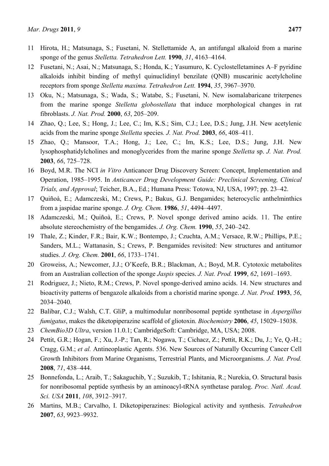- 11 Hirota, H.; Matsunaga, S.; Fusetani, N. Stellettamide A, an antifungal alkaloid from a marine sponge of the genus *Stelletta. Tetrahedron Lett.* **1990**, *31*, 4163–4164.
- 12 Fusetani, N.; Asai, N.; Matsunaga, S.; Honda, K.; Yasumuro, K. Cyclostelletamines A–F pyridine alkaloids inhibit binding of methyl quinuclidinyl benzilate (QNB) muscarinic acetylcholine receptors from sponge *Stelletta maxima. Tetrahedron Lett.* **1994**, *35*, 3967–3970.
- 13 Oku, N.; Matsunaga, S.; Wada, S.; Watabe, S.; Fusetani, N. New isomalabaricane triterpenes from the marine sponge *Stelletta globostellata* that induce morphological changes in rat fibroblasts. *J. Nat. Prod.* **2000**, *63*, 205–209.
- 14 Zhao, Q.; Lee, S.; Hong, J.; Lee, C.; Im, K.S.; Sim, C.J.; Lee, D.S.; Jung, J.H. New acetylenic acids from the marine sponge *Stelletta* species*. J. Nat. Prod.* **2003**, *66*, 408–411.
- 15 Zhao, Q.; Mansoor, T.A.; Hong, J.; Lee, C.; Im, K.S.; Lee, D.S.; Jung, J.H. New lysophosphatidylcholines and monoglycerides from the marine sponge *Stelletta* sp. *J. Nat. Prod.* **2003**, *66*, 725–728.
- 16 Boyd, M.R. The NCI *in Vitro* Anticancer Drug Discovery Screen: Concept, Implementation and Operation, 1985–1995. In *Anticancer Drug Development Guide: Preclinical Screening, Clinical Trials, and Approval*; Teicher, B.A., Ed.; Humana Press: Totowa, NJ, USA, 1997; pp. 23–42.
- 17 Quiñoà, E.; Adamczeski, M.; Crews, P.; Bakus, G.J. Bengamides; heterocyclic anthelminthics from a jaspidae marine sponge. *J. Org. Chem.* **1986**, *51*, 4494–4497.
- 18 Adamczeski, M.; Quiñoà, E.; Crews, P. Novel sponge derived amino acids. 11. The entire absolute stereochemistry of the bengamides. *J. Org. Chem.* **1990**, *55*, 240–242.
- 19 Thale, Z.; Kinder, F.R.; Bair, K.W.; Bontempo, J.; Czuchta, A.M.; Versace, R.W.; Phillips, P.E.; Sanders, M.L.; Wattanasin, S.; Crews, P. Bengamides revisited: New structures and antitumor studies. *J. Org. Chem.* **2001**, *66*, 1733–1741.
- 20 Groweiss, A.; Newcomer, J.J.; O'Keefe, B.R.; Blackman, A.; Boyd, M.R. Cytotoxic metabolites from an Australian collection of the sponge *Jaspis* species. *J. Nat. Prod.* **1999**, *62*, 1691–1693.
- 21 Rodriguez, J.; Nieto, R.M.; Crews, P. Novel sponge-derived amino acids. 14. New structures and bioactivity patterns of bengazole alkaloids from a choristid marine sponge. *J. Nat. Prod.* **1993**, *56*, 2034–2040.
- 22 Balibar, C.J.; Walsh, C.T. GliP, a multimodular nonribosomal peptide synthetase in *Aspergillus fumigatus*, makes the diketopiperazine scaffold of gliotoxin. *Biochemistry* **2006**, *45*, 15029–15038.
- 23 *ChemBio3D Ultra*, version 11.0.1; CambridgeSoft: Cambridge, MA, USA; 2008.
- 24 Pettit, G.R.; Hogan, F.; Xu, J.-P.; Tan, R.; Nogawa, T.; Cichacz, Z.; Pettit, R.K.; Du, J.; Ye, Q.-H.; Cragg, G.M.; *et al.* Antineoplastic Agents. 536. New Sources of Naturally Occurring Cancer Cell Growth Inhibitors from Marine Organisms, Terrestrial Plants, and Microorganisms. *J. Nat. Prod.* **2008**, *71*, 438–444.
- 25 Bonnefonda, L.; Araib, T.; Sakaguchib, Y.; Suzukib, T.; Ishitania, R.; Nurekia, O. Structural basis for nonribosomal peptide synthesis by an aminoacyl-tRNA synthetase paralog. *Proc. Natl. Acad. Sci. USA* **2011**, *108*, 3912–3917.
- 26 Martins, M.B.; Carvalho, I. Diketopiperazines: Biological activity and synthesis. *Tetrahedron*  **2007**, *63*, 9923–9932.